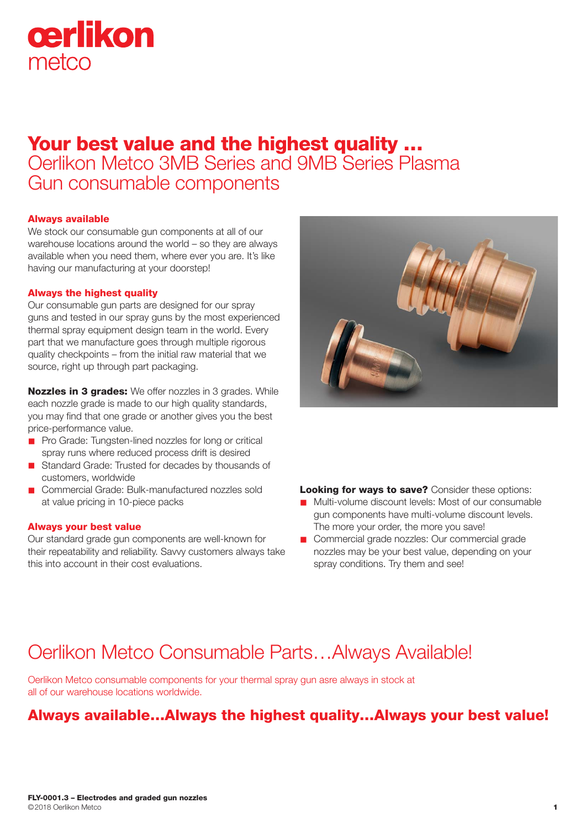# cerlikon metco

## Your best value and the highest quality … Oerlikon Metco 3MB Series and 9MB Series Plasma Gun consumable components

#### Always available

We stock our consumable gun components at all of our warehouse locations around the world – so they are always available when you need them, where ever you are. It's like having our manufacturing at your doorstep!

#### Always the highest quality

Our consumable gun parts are designed for our spray guns and tested in our spray guns by the most experienced thermal spray equipment design team in the world. Every part that we manufacture goes through multiple rigorous quality checkpoints – from the initial raw material that we source, right up through part packaging.

Nozzles in 3 grades: We offer nozzles in 3 grades. While each nozzle grade is made to our high quality standards, you may find that one grade or another gives you the best price-performance value.

- n Pro Grade: Tungsten-lined nozzles for long or critical spray runs where reduced process drift is desired
- Standard Grade: Trusted for decades by thousands of customers, worldwide
- Commercial Grade: Bulk-manufactured nozzles sold at value pricing in 10-piece packs

#### Always your best value

Our standard grade gun components are well-known for their repeatability and reliability. Savvy customers always take this into account in their cost evaluations.



**Looking for ways to save?** Consider these options:

- Multi-volume discount levels: Most of our consumable gun components have multi-volume discount levels. The more your order, the more you save!
- **n** Commercial grade nozzles: Our commercial grade nozzles may be your best value, depending on your spray conditions. Try them and see!

# Oerlikon Metco Consumable Parts…Always Available!

Oerlikon Metco consumable components for your thermal spray gun asre always in stock at all of our warehouse locations worldwide.

### Always available…Always the highest quality…Always your best value!